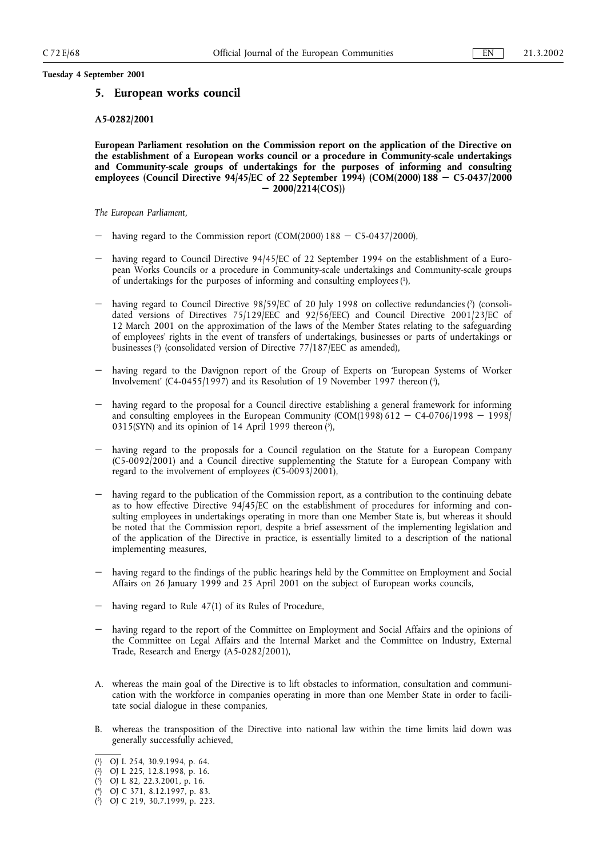# **5. European works council**

#### **A5-0282/2001**

**European Parliament resolution on the Commission report on the application of the Directive on the establishment of a European works council or a procedure in Community-scale undertakings and Community-scale groups of undertakings for the purposes of informing and consulting employees (Council Directive 94/45/EC of 22 September 1994) (COM(2000) 188 C5-0437/2000 2000/2214(COS))**

*The European Parliament,*

- having regard to the Commission report (COM(2000)  $188 C5-0437/2000$ ),
- having regard to Council Directive 94/45/EC of 22 September 1994 on the establishment of a European Works Councils or a procedure in Community-scale undertakings and Community-scale groups of undertakings for the purposes of informing and consulting employees (1),
- having regard to Council Directive 98/59/EC of 20 July 1998 on collective redundancies (2) (consolidated versions of Directives 75/129/EEC and 92/56/EEC) and Council Directive 2001/23/EC of 12 March 2001 on the approximation of the laws of the Member States relating to the safeguarding of employees' rights in the event of transfers of undertakings, businesses or parts of undertakings or businesses (3) (consolidated version of Directive 77/187/EEC as amended),
- having regard to the Davignon report of the Group of Experts on 'European Systems of Worker Involvement' (C4-0455/1997) and its Resolution of 19 November 1997 thereon (4),
- having regard to the proposal for a Council directive establishing a general framework for informing and consulting employees in the European Community (COM(1998) 612 - C4-0706/1998 - 1998/ 0315(SYN) and its opinion of 14 April 1999 thereon  $(5)$ ,
- having regard to the proposals for a Council regulation on the Statute for a European Company (C5-0092/2001) and a Council directive supplementing the Statute for a European Company with regard to the involvement of employees (C5-0093/2001),
- having regard to the publication of the Commission report, as a contribution to the continuing debate as to how effective Directive 94/45/EC on the establishment of procedures for informing and consulting employees in undertakings operating in more than one Member State is, but whereas it should be noted that the Commission report, despite a brief assessment of the implementing legislation and of the application of the Directive in practice, is essentially limited to a description of the national implementing measures,
- having regard to the findings of the public hearings held by the Committee on Employment and Social Affairs on 26 January 1999 and 25 April 2001 on the subject of European works councils,
- having regard to Rule 47(1) of its Rules of Procedure,
- having regard to the report of the Committee on Employment and Social Affairs and the opinions of the Committee on Legal Affairs and the Internal Market and the Committee on Industry, External Trade, Research and Energy (A5-0282/2001),
- A. whereas the main goal of the Directive is to lift obstacles to information, consultation and communication with the workforce in companies operating in more than one Member State in order to facilitate social dialogue in these companies,
- B. whereas the transposition of the Directive into national law within the time limits laid down was generally successfully achieved,

<sup>(</sup> 1) OJ L 254, 30.9.1994, p. 64.

<sup>(</sup> 2) OJ L 225, 12.8.1998, p. 16.

<sup>(</sup> 3) OJ L 82, 22.3.2001, p. 16.

<sup>(</sup> 4) OJ C 371, 8.12.1997, p. 83.

<sup>(</sup> 5) OJ C 219, 30.7.1999, p. 223.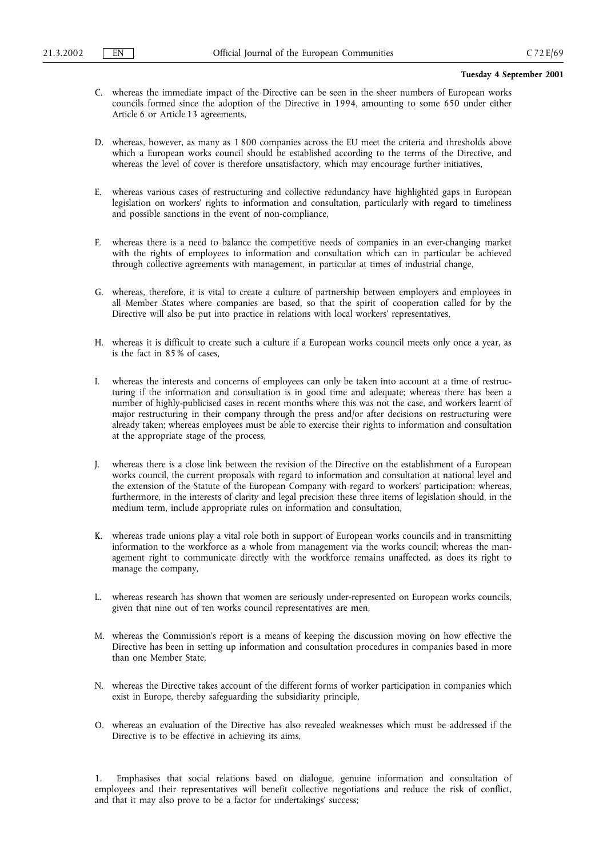- C. whereas the immediate impact of the Directive can be seen in the sheer numbers of European works councils formed since the adoption of the Directive in 1994, amounting to some 650 under either Article 6 or Article 13 agreements,
- D. whereas, however, as many as 1 800 companies across the EU meet the criteria and thresholds above which a European works council should be established according to the terms of the Directive, and whereas the level of cover is therefore unsatisfactory, which may encourage further initiatives,
- E. whereas various cases of restructuring and collective redundancy have highlighted gaps in European legislation on workers' rights to information and consultation, particularly with regard to timeliness and possible sanctions in the event of non-compliance,
- F. whereas there is a need to balance the competitive needs of companies in an ever-changing market with the rights of employees to information and consultation which can in particular be achieved through collective agreements with management, in particular at times of industrial change,
- G. whereas, therefore, it is vital to create a culture of partnership between employers and employees in all Member States where companies are based, so that the spirit of cooperation called for by the Directive will also be put into practice in relations with local workers' representatives,
- H. whereas it is difficult to create such a culture if a European works council meets only once a year, as is the fact in 85 % of cases,
- I. whereas the interests and concerns of employees can only be taken into account at a time of restructuring if the information and consultation is in good time and adequate; whereas there has been a number of highly-publicised cases in recent months where this was not the case, and workers learnt of major restructuring in their company through the press and/or after decisions on restructuring were already taken; whereas employees must be able to exercise their rights to information and consultation at the appropriate stage of the process,
- J. whereas there is a close link between the revision of the Directive on the establishment of a European works council, the current proposals with regard to information and consultation at national level and the extension of the Statute of the European Company with regard to workers' participation; whereas, furthermore, in the interests of clarity and legal precision these three items of legislation should, in the medium term, include appropriate rules on information and consultation,
- K. whereas trade unions play a vital role both in support of European works councils and in transmitting information to the workforce as a whole from management via the works council; whereas the management right to communicate directly with the workforce remains unaffected, as does its right to manage the company,
- L. whereas research has shown that women are seriously under-represented on European works councils, given that nine out of ten works council representatives are men,
- M. whereas the Commission's report is a means of keeping the discussion moving on how effective the Directive has been in setting up information and consultation procedures in companies based in more than one Member State,
- N. whereas the Directive takes account of the different forms of worker participation in companies which exist in Europe, thereby safeguarding the subsidiarity principle,
- O. whereas an evaluation of the Directive has also revealed weaknesses which must be addressed if the Directive is to be effective in achieving its aims,

1. Emphasises that social relations based on dialogue, genuine information and consultation of employees and their representatives will benefit collective negotiations and reduce the risk of conflict, and that it may also prove to be a factor for undertakings' success;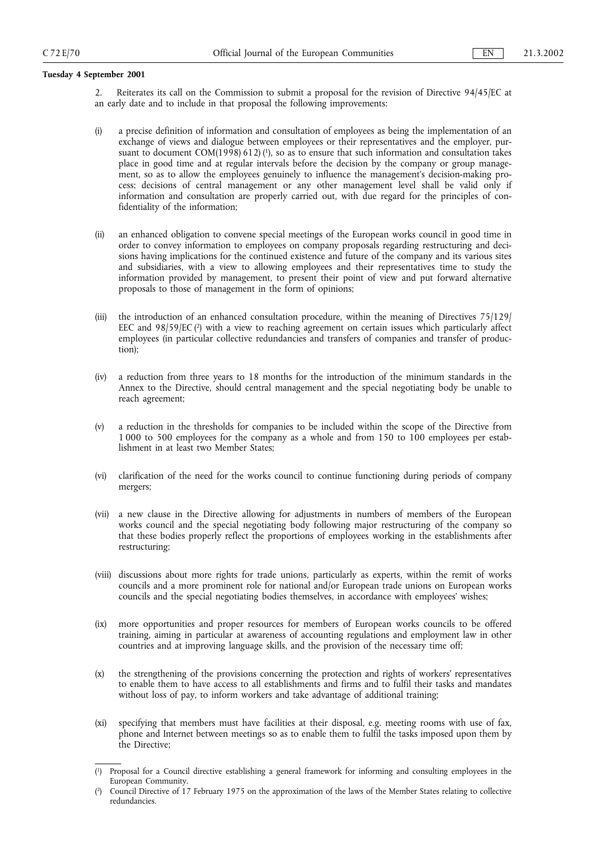2. Reiterates its call on the Commission to submit a proposal for the revision of Directive 94/45/EC at an early date and to include in that proposal the following improvements:

- (i) a precise definition of information and consultation of employees as being the implementation of an exchange of views and dialogue between employees or their representatives and the employer, pursuant to document COM(1998) 612) ( $\beta$ ), so as to ensure that such information and consultation takes place in good time and at regular intervals before the decision by the company or group management, so as to allow the employees genuinely to influence the management's decision-making process; decisions of central management or any other management level shall be valid only if information and consultation are properly carried out, with due regard for the principles of confidentiality of the information;
- (ii) an enhanced obligation to convene special meetings of the European works council in good time in order to convey information to employees on company proposals regarding restructuring and decisions having implications for the continued existence and future of the company and its various sites and subsidiaries, with a view to allowing employees and their representatives time to study the information provided by management, to present their point of view and put forward alternative proposals to those of management in the form of opinions;
- (iii) the introduction of an enhanced consultation procedure, within the meaning of Directives 75/129/ EEC and  $98/59/EC$  ( $2$ ) with a view to reaching agreement on certain issues which particularly affect employees (in particular collective redundancies and transfers of companies and transfer of production);
- (iv) a reduction from three years to 18 months for the introduction of the minimum standards in the Annex to the Directive, should central management and the special negotiating body be unable to reach agreement;
- (v) a reduction in the thresholds for companies to be included within the scope of the Directive from 1 000 to 500 employees for the company as a whole and from 150 to 100 employees per establishment in at least two Member States;
- (vi) clarification of the need for the works council to continue functioning during periods of company mergers;
- (vii) a new clause in the Directive allowing for adjustments in numbers of members of the European works council and the special negotiating body following major restructuring of the company so that these bodies properly reflect the proportions of employees working in the establishments after restructuring;
- (viii) discussions about more rights for trade unions, particularly as experts, within the remit of works councils and a more prominent role for national and/or European trade unions on European works councils and the special negotiating bodies themselves, in accordance with employees' wishes;
- (ix) more opportunities and proper resources for members of European works councils to be offered training, aiming in particular at awareness of accounting regulations and employment law in other countries and at improving language skills, and the provision of the necessary time off;
- (x) the strengthening of the provisions concerning the protection and rights of workers' representatives to enable them to have access to all establishments and firms and to fulfil their tasks and mandates without loss of pay, to inform workers and take advantage of additional training;
- (xi) specifying that members must have facilities at their disposal, e.g. meeting rooms with use of fax, phone and Internet between meetings so as to enable them to fulfil the tasks imposed upon them by the Directive;

<sup>(</sup> 1) Proposal for a Council directive establishing a general framework for informing and consulting employees in the European Community.

<sup>(</sup> 2) Council Directive of 17 February 1975 on the approximation of the laws of the Member States relating to collective redundancies.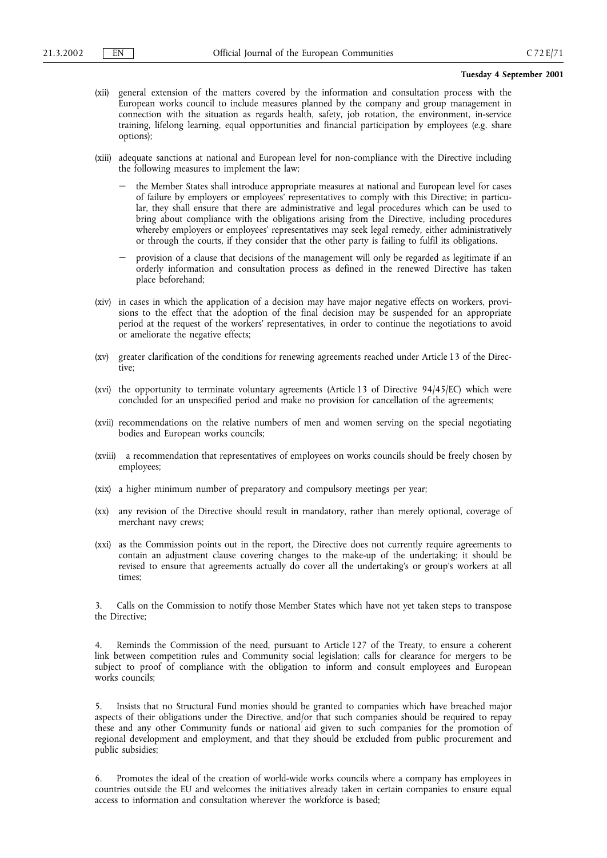- (xii) general extension of the matters covered by the information and consultation process with the European works council to include measures planned by the company and group management in connection with the situation as regards health, safety, job rotation, the environment, in-service training, lifelong learning, equal opportunities and financial participation by employees (e.g. share options);
- (xiii) adequate sanctions at national and European level for non-compliance with the Directive including the following measures to implement the law:
	- the Member States shall introduce appropriate measures at national and European level for cases of failure by employers or employees' representatives to comply with this Directive; in particular, they shall ensure that there are administrative and legal procedures which can be used to bring about compliance with the obligations arising from the Directive, including procedures whereby employers or employees' representatives may seek legal remedy, either administratively or through the courts, if they consider that the other party is failing to fulfil its obligations.
	- provision of a clause that decisions of the management will only be regarded as legitimate if an orderly information and consultation process as defined in the renewed Directive has taken place beforehand;
- (xiv) in cases in which the application of a decision may have major negative effects on workers, provisions to the effect that the adoption of the final decision may be suspended for an appropriate period at the request of the workers' representatives, in order to continue the negotiations to avoid or ameliorate the negative effects;
- (xv) greater clarification of the conditions for renewing agreements reached under Article 13 of the Directive;
- (xvi) the opportunity to terminate voluntary agreements (Article 13 of Directive 94/45/EC) which were concluded for an unspecified period and make no provision for cancellation of the agreements;
- (xvii) recommendations on the relative numbers of men and women serving on the special negotiating bodies and European works councils;
- (xviii) a recommendation that representatives of employees on works councils should be freely chosen by employees;
- (xix) a higher minimum number of preparatory and compulsory meetings per year;
- (xx) any revision of the Directive should result in mandatory, rather than merely optional, coverage of merchant navy crews;
- (xxi) as the Commission points out in the report, the Directive does not currently require agreements to contain an adjustment clause covering changes to the make-up of the undertaking; it should be revised to ensure that agreements actually do cover all the undertaking's or group's workers at all times;

Calls on the Commission to notify those Member States which have not yet taken steps to transpose the Directive;

Reminds the Commission of the need, pursuant to Article 127 of the Treaty, to ensure a coherent link between competition rules and Community social legislation; calls for clearance for mergers to be subject to proof of compliance with the obligation to inform and consult employees and European works councils;

5. Insists that no Structural Fund monies should be granted to companies which have breached major aspects of their obligations under the Directive, and/or that such companies should be required to repay these and any other Community funds or national aid given to such companies for the promotion of regional development and employment, and that they should be excluded from public procurement and public subsidies;

6. Promotes the ideal of the creation of world-wide works councils where a company has employees in countries outside the EU and welcomes the initiatives already taken in certain companies to ensure equal access to information and consultation wherever the workforce is based;